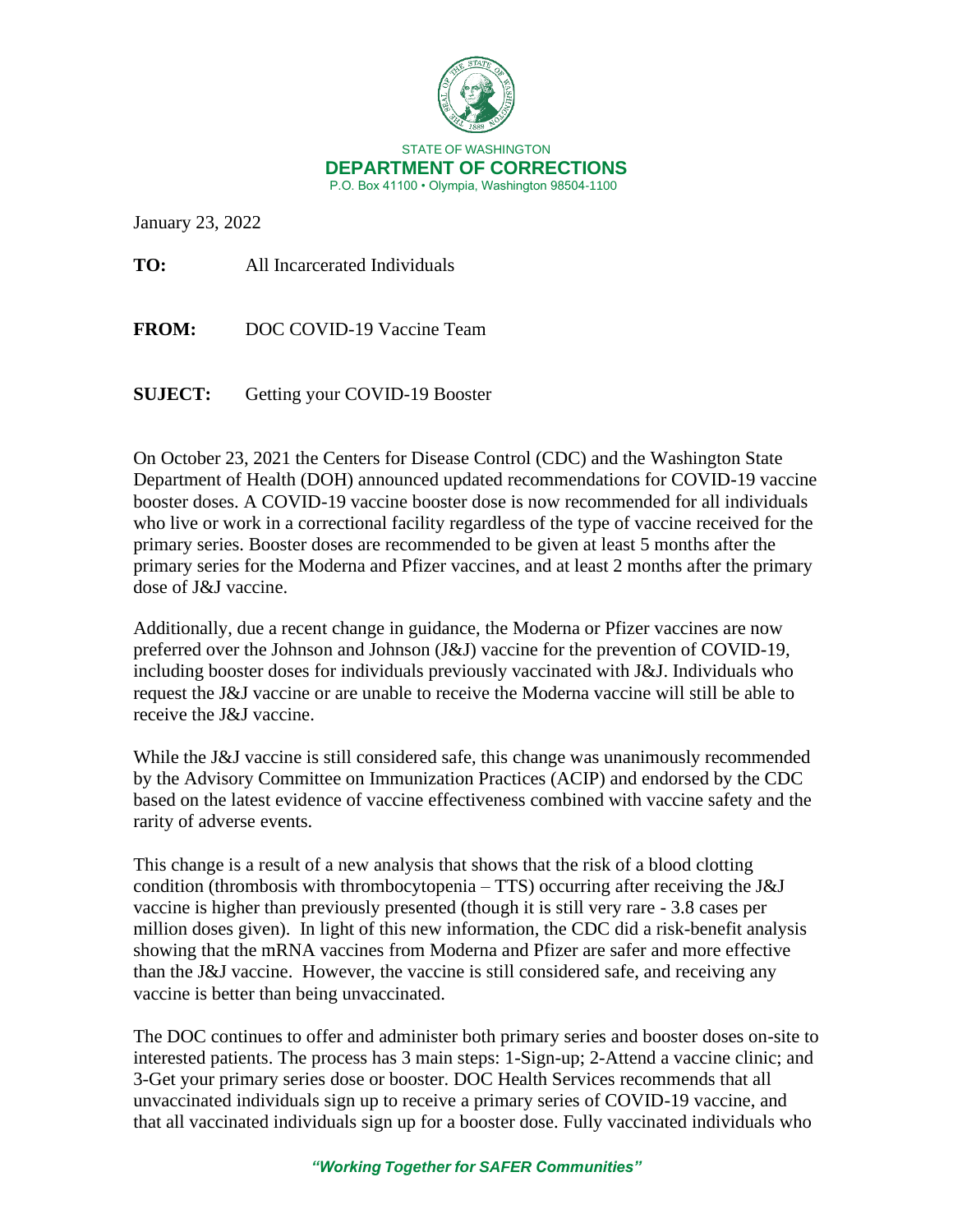

January 23, 2022

**TO:** All Incarcerated Individuals

**FROM:** DOC COVID-19 Vaccine Team

**SUJECT:** Getting your COVID-19 Booster

On October 23, 2021 the Centers for Disease Control (CDC) and the Washington State Department of Health (DOH) announced updated recommendations for COVID-19 vaccine booster doses. A COVID-19 vaccine booster dose is now recommended for all individuals who live or work in a correctional facility regardless of the type of vaccine received for the primary series. Booster doses are recommended to be given at least 5 months after the primary series for the Moderna and Pfizer vaccines, and at least 2 months after the primary dose of J&J vaccine.

Additionally, due a recent change in guidance, the Moderna or Pfizer vaccines are now preferred over the Johnson and Johnson (J&J) vaccine for the prevention of COVID-19, including booster doses for individuals previously vaccinated with J&J. Individuals who request the J&J vaccine or are unable to receive the Moderna vaccine will still be able to receive the J&J vaccine.

While the J&J vaccine is still considered safe, this change was unanimously recommended by the Advisory Committee on Immunization Practices (ACIP) and endorsed by the CDC based on the latest evidence of vaccine effectiveness combined with vaccine safety and the rarity of adverse events.

This change is a result of a new analysis that shows that the risk of a blood clotting condition (thrombosis with thrombocytopenia – TTS) occurring after receiving the J&J vaccine is higher than previously presented (though it is still very rare - 3.8 cases per million doses given). In light of this new information, the CDC did a risk-benefit analysis showing that the mRNA vaccines from Moderna and Pfizer are safer and more effective than the J&J vaccine. However, the vaccine is still considered safe, and receiving any vaccine is better than being unvaccinated.

The DOC continues to offer and administer both primary series and booster doses on-site to interested patients. The process has 3 main steps: 1-Sign-up; 2-Attend a vaccine clinic; and 3-Get your primary series dose or booster. DOC Health Services recommends that all unvaccinated individuals sign up to receive a primary series of COVID-19 vaccine, and that all vaccinated individuals sign up for a booster dose. Fully vaccinated individuals who